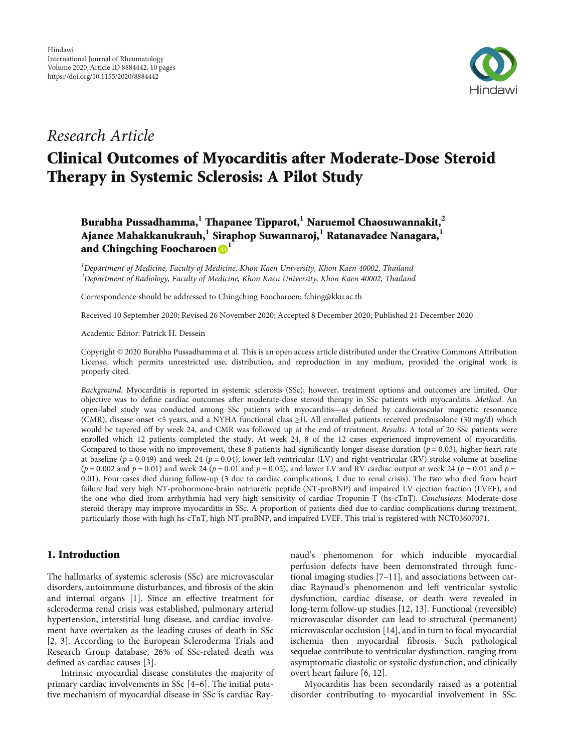

# Research Article

# Clinical Outcomes of Myocarditis after Moderate-Dose Steroid Therapy in Systemic Sclerosis: A Pilot Study

Burabha Pussadhamma,**<sup>1</sup>** Thapanee Tipparot,**<sup>1</sup>** Naruemol Chaosuwannakit,**<sup>2</sup>** Ajanee Mahakkanukrauh,**<sup>1</sup>** Siraphop Suwannaroj,**<sup>1</sup>** Ratanavadee Nanagara,**<sup>1</sup>** and Chingching Foocharoen<sup>D</sup>

 ${}^{1}$ Department of Medicine, Faculty of Medicine, Khon Kaen University, Khon Kaen 40002, Thailand  $^2$ Department of Radiology, Faculty of Medicine, Khon Kaen University, Khon Kaen 40002, Thailand

Correspondence should be addressed to Chingching Foocharoen; fching@kku.ac.th

Received 10 September 2020; Revised 26 November 2020; Accepted 8 December 2020; Published 21 December 2020

Academic Editor: Patrick H. Dessein

Copyright © 2020 Burabha Pussadhamma et al. This is an open access article distributed under the [Creative Commons Attribution](https://creativecommons.org/licenses/by/4.0/) [License,](https://creativecommons.org/licenses/by/4.0/) which permits unrestricted use, distribution, and reproduction in any medium, provided the original work is properly cited.

Background. Myocarditis is reported in systemic sclerosis (SSc); however, treatment options and outcomes are limited. Our objective was to define cardiac outcomes after moderate-dose steroid therapy in SSc patients with myocarditis. Method. An open-label study was conducted among SSc patients with myocarditis—as defined by cardiovascular magnetic resonance (CMR), disease onset <5 years, and a NYHA functional class ≥II. All enrolled patients received prednisolone (30 mg/d) which would be tapered off by week 24, and CMR was followed up at the end of treatment. Results. A total of 20 SSc patients were enrolled which 12 patients completed the study. At week 24, 8 of the 12 cases experienced improvement of myocarditis. Compared to those with no improvement, these 8 patients had significantly longer disease duration ( $p = 0.03$ ), higher heart rate at baseline ( $p = 0.049$ ) and week 24 ( $p = 0.04$ ), lower left ventricular (LV) and right ventricular (RV) stroke volume at baseline  $(p = 0.002$  and  $p = 0.01)$  and week 24 ( $p = 0.01$  and  $p = 0.02$ ), and lower LV and RV cardiac output at week 24 ( $p = 0.01$  and  $p = 0.01$ ) 0*:*01). Four cases died during follow-up (3 due to cardiac complications, 1 due to renal crisis). The two who died from heart failure had very high NT-prohormone-brain natriuretic peptide (NT-proBNP) and impaired LV ejection fraction (LVEF), and the one who died from arrhythmia had very high sensitivity of cardiac Troponin-T (hs-cTnT). Conclusions. Moderate-dose steroid therapy may improve myocarditis in SSc. A proportion of patients died due to cardiac complications during treatment, particularly those with high hs-cTnT, high NT-proBNP, and impaired LVEF. This trial is registered with [NCT03607071.](https://clinicaltrials.gov/ct2/show/NCT03607071?cond=NCT03607071&draw=2&rank=1)

# 1. Introduction

The hallmarks of systemic sclerosis (SSc) are microvascular disorders, autoimmune disturbances, and fibrosis of the skin and internal organs [\[1](#page-8-0)]. Since an effective treatment for scleroderma renal crisis was established, pulmonary arterial hypertension, interstitial lung disease, and cardiac involvement have overtaken as the leading causes of death in SSc [\[2](#page-8-0), [3](#page-8-0)]. According to the European Scleroderma Trials and Research Group database, 26% of SSc-related death was defined as cardiac causes [[3](#page-8-0)].

Intrinsic myocardial disease constitutes the majority of primary cardiac involvements in SSc [\[4](#page-8-0)–[6](#page-8-0)]. The initial putative mechanism of myocardial disease in SSc is cardiac Ray-

naud's phenomenon for which inducible myocardial perfusion defects have been demonstrated through functional imaging studies [\[7](#page-8-0)–[11\]](#page-8-0), and associations between cardiac Raynaud's phenomenon and left ventricular systolic dysfunction, cardiac disease, or death were revealed in long-term follow-up studies [[12](#page-8-0), [13\]](#page-8-0). Functional (reversible) microvascular disorder can lead to structural (permanent) microvascular occlusion [\[14\]](#page-8-0), and in turn to focal myocardial ischemia then myocardial fibrosis. Such pathological sequelae contribute to ventricular dysfunction, ranging from asymptomatic diastolic or systolic dysfunction, and clinically overt heart failure [[6, 12](#page-8-0)].

Myocarditis has been secondarily raised as a potential disorder contributing to myocardial involvement in SSc.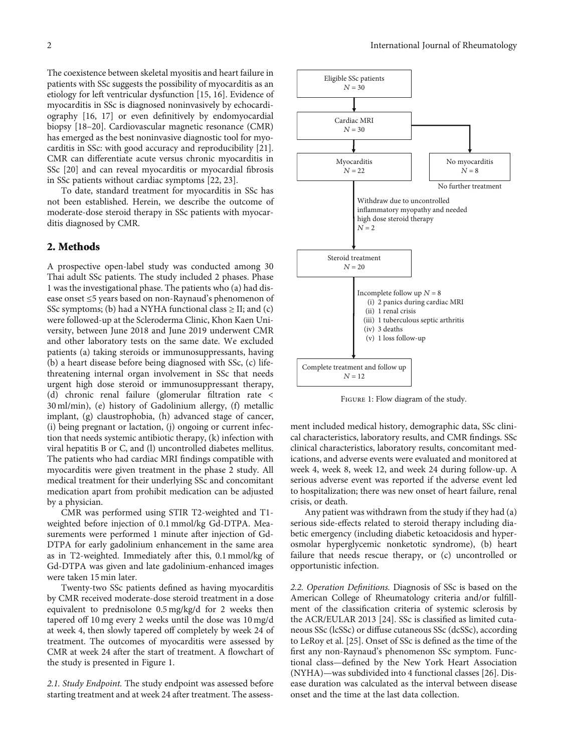<span id="page-1-0"></span>The coexistence between skeletal myositis and heart failure in patients with SSc suggests the possibility of myocarditis as an etiology for left ventricular dysfunction [\[15](#page-8-0), [16](#page-8-0)]. Evidence of myocarditis in SSc is diagnosed noninvasively by echocardiography [\[16, 17](#page-8-0)] or even definitively by endomyocardial biopsy [[18](#page-8-0)–[20](#page-8-0)]. Cardiovascular magnetic resonance (CMR) has emerged as the best noninvasive diagnostic tool for myocarditis in SSc: with good accuracy and reproducibility [[21](#page-9-0)]. CMR can differentiate acute versus chronic myocarditis in SSc [[20](#page-8-0)] and can reveal myocarditis or myocardial fibrosis in SSc patients without cardiac symptoms [[22](#page-9-0), [23\]](#page-9-0).

To date, standard treatment for myocarditis in SSc has not been established. Herein, we describe the outcome of moderate-dose steroid therapy in SSc patients with myocarditis diagnosed by CMR.

#### 2. Methods

A prospective open-label study was conducted among 30 Thai adult SSc patients. The study included 2 phases. Phase 1 was the investigational phase. The patients who (a) had disease onset ≤5 years based on non-Raynaud's phenomenon of SSc symptoms; (b) had a NYHA functional class  $\geq$  II; and (c) were followed-up at the Scleroderma Clinic, Khon Kaen University, between June 2018 and June 2019 underwent CMR and other laboratory tests on the same date. We excluded patients (a) taking steroids or immunosuppressants, having (b) a heart disease before being diagnosed with SSc, (c) lifethreatening internal organ involvement in SSc that needs urgent high dose steroid or immunosuppressant therapy, (d) chronic renal failure (glomerular filtration rate < 30 ml/min), (e) history of Gadolinium allergy, (f) metallic implant, (g) claustrophobia, (h) advanced stage of cancer, (i) being pregnant or lactation, (j) ongoing or current infection that needs systemic antibiotic therapy, (k) infection with viral hepatitis B or C, and (l) uncontrolled diabetes mellitus. The patients who had cardiac MRI findings compatible with myocarditis were given treatment in the phase 2 study. All medical treatment for their underlying SSc and concomitant medication apart from prohibit medication can be adjusted by a physician.

CMR was performed using STIR T2-weighted and T1 weighted before injection of 0.1 mmol/kg Gd-DTPA. Measurements were performed 1 minute after injection of Gd-DTPA for early gadolinium enhancement in the same area as in T2-weighted. Immediately after this, 0.1 mmol/kg of Gd-DTPA was given and late gadolinium-enhanced images were taken 15 min later.

Twenty-two SSc patients defined as having myocarditis by CMR received moderate-dose steroid treatment in a dose equivalent to prednisolone 0.5 mg/kg/d for 2 weeks then tapered off 10 mg every 2 weeks until the dose was 10 mg/d at week 4, then slowly tapered off completely by week 24 of treatment. The outcomes of myocarditis were assessed by CMR at week 24 after the start of treatment. A flowchart of the study is presented in Figure 1.

2.1. Study Endpoint. The study endpoint was assessed before starting treatment and at week 24 after treatment. The assess-



Figure 1: Flow diagram of the study.

ment included medical history, demographic data, SSc clinical characteristics, laboratory results, and CMR findings. SSc clinical characteristics, laboratory results, concomitant medications, and adverse events were evaluated and monitored at week 4, week 8, week 12, and week 24 during follow-up. A serious adverse event was reported if the adverse event led to hospitalization; there was new onset of heart failure, renal crisis, or death.

Any patient was withdrawn from the study if they had (a) serious side-effects related to steroid therapy including diabetic emergency (including diabetic ketoacidosis and hyperosmolar hyperglycemic nonketotic syndrome), (b) heart failure that needs rescue therapy, or (c) uncontrolled or opportunistic infection.

2.2. Operation Definitions. Diagnosis of SSc is based on the American College of Rheumatology criteria and/or fulfillment of the classification criteria of systemic sclerosis by the ACR/EULAR 2013 [\[24\]](#page-9-0). SSc is classified as limited cutaneous SSc (lcSSc) or diffuse cutaneous SSc (dcSSc), according to LeRoy et al. [\[25\]](#page-9-0). Onset of SSc is defined as the time of the first any non-Raynaud's phenomenon SSc symptom. Functional class—defined by the New York Heart Association (NYHA)—was subdivided into 4 functional classes [[26](#page-9-0)]. Disease duration was calculated as the interval between disease onset and the time at the last data collection.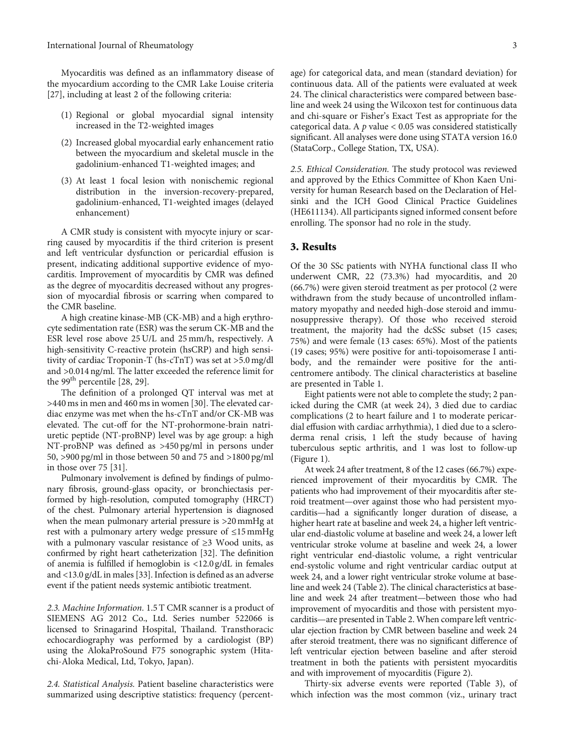Myocarditis was defined as an inflammatory disease of the myocardium according to the CMR Lake Louise criteria [\[27](#page-9-0)], including at least 2 of the following criteria:

- (1) Regional or global myocardial signal intensity increased in the T2-weighted images
- (2) Increased global myocardial early enhancement ratio between the myocardium and skeletal muscle in the gadolinium-enhanced T1-weighted images; and
- (3) At least 1 focal lesion with nonischemic regional distribution in the inversion-recovery-prepared, gadolinium-enhanced, T1-weighted images (delayed enhancement)

A CMR study is consistent with myocyte injury or scarring caused by myocarditis if the third criterion is present and left ventricular dysfunction or pericardial effusion is present, indicating additional supportive evidence of myocarditis. Improvement of myocarditis by CMR was defined as the degree of myocarditis decreased without any progression of myocardial fibrosis or scarring when compared to the CMR baseline.

A high creatine kinase-MB (CK-MB) and a high erythrocyte sedimentation rate (ESR) was the serum CK-MB and the ESR level rose above 25 U/L and 25 mm/h, respectively. A high-sensitivity C-reactive protein (hsCRP) and high sensitivity of cardiac Troponin-T (hs-cTnT) was set at >5.0 mg/dl and >0.014 ng/ml. The latter exceeded the reference limit for the 99<sup>th</sup> percentile [\[28, 29](#page-9-0)].

The definition of a prolonged QT interval was met at >440 ms in men and 460 ms in women [\[30\]](#page-9-0). The elevated cardiac enzyme was met when the hs-cTnT and/or CK-MB was elevated. The cut-off for the NT-prohormone-brain natriuretic peptide (NT-proBNP) level was by age group: a high NT-proBNP was defined as >450 pg/ml in persons under 50, >900 pg/ml in those between 50 and 75 and >1800 pg/ml in those over 75 [\[31\]](#page-9-0).

Pulmonary involvement is defined by findings of pulmonary fibrosis, ground-glass opacity, or bronchiectasis performed by high-resolution, computed tomography (HRCT) of the chest. Pulmonary arterial hypertension is diagnosed when the mean pulmonary arterial pressure is >20mmHg at rest with a pulmonary artery wedge pressure of ≤15mmHg with a pulmonary vascular resistance of ≥3 Wood units, as confirmed by right heart catheterization [\[32\]](#page-9-0). The definition of anemia is fulfilled if hemoglobin is <12.0 g/dL in females and <13.0 g/dL in males [[33\]](#page-9-0). Infection is defined as an adverse event if the patient needs systemic antibiotic treatment.

2.3. Machine Information. 1.5 T CMR scanner is a product of SIEMENS AG 2012 Co., Ltd. Series number 522066 is licensed to Srinagarind Hospital, Thailand. Transthoracic echocardiography was performed by a cardiologist (BP) using the AlokaProSound F75 sonographic system (Hitachi-Aloka Medical, Ltd, Tokyo, Japan).

2.4. Statistical Analysis. Patient baseline characteristics were summarized using descriptive statistics: frequency (percent-

age) for categorical data, and mean (standard deviation) for continuous data. All of the patients were evaluated at week 24. The clinical characteristics were compared between baseline and week 24 using the Wilcoxon test for continuous data and chi-square or Fisher's Exact Test as appropriate for the categorical data. A *p* value < 0.05 was considered statistically significant. All analyses were done using STATA version 16.0 (StataCorp., College Station, TX, USA).

2.5. Ethical Consideration. The study protocol was reviewed and approved by the Ethics Committee of Khon Kaen University for human Research based on the Declaration of Helsinki and the ICH Good Clinical Practice Guidelines (HE611134). All participants signed informed consent before enrolling. The sponsor had no role in the study.

#### 3. Results

Of the 30 SSc patients with NYHA functional class II who underwent CMR, 22 (73.3%) had myocarditis, and 20 (66.7%) were given steroid treatment as per protocol (2 were withdrawn from the study because of uncontrolled inflammatory myopathy and needed high-dose steroid and immunosuppressive therapy). Of those who received steroid treatment, the majority had the dcSSc subset (15 cases; 75%) and were female (13 cases: 65%). Most of the patients (19 cases; 95%) were positive for anti-topoisomerase I antibody, and the remainder were positive for the anticentromere antibody. The clinical characteristics at baseline are presented in Table [1.](#page-3-0)

Eight patients were not able to complete the study; 2 panicked during the CMR (at week 24), 3 died due to cardiac complications (2 to heart failure and 1 to moderate pericardial effusion with cardiac arrhythmia), 1 died due to a scleroderma renal crisis, 1 left the study because of having tuberculous septic arthritis, and 1 was lost to follow-up (Figure [1](#page-1-0)).

At week 24 after treatment, 8 of the 12 cases (66.7%) experienced improvement of their myocarditis by CMR. The patients who had improvement of their myocarditis after steroid treatment—over against those who had persistent myocarditis—had a significantly longer duration of disease, a higher heart rate at baseline and week 24, a higher left ventricular end-diastolic volume at baseline and week 24, a lower left ventricular stroke volume at baseline and week 24, a lower right ventricular end-diastolic volume, a right ventricular end-systolic volume and right ventricular cardiac output at week 24, and a lower right ventricular stroke volume at baseline and week 24 (Table [2\)](#page-4-0). The clinical characteristics at baseline and week 24 after treatment—between those who had improvement of myocarditis and those with persistent myocarditis—are presented in Table [2.](#page-4-0) When compare left ventricular ejection fraction by CMR between baseline and week 24 after steroid treatment, there was no significant difference of left ventricular ejection between baseline and after steroid treatment in both the patients with persistent myocarditis and with improvement of myocarditis (Figure [2](#page-5-0)).

Thirty-six adverse events were reported (Table [3](#page-5-0)), of which infection was the most common (viz., urinary tract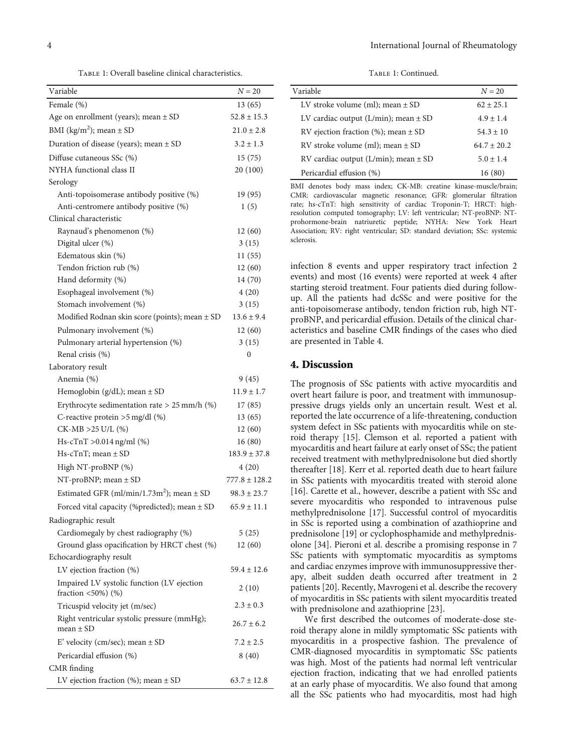TABLE 1: Overall baseline clinical characteristics.

<span id="page-3-0"></span>

| Variable                                                                          | $N = 20$          |
|-----------------------------------------------------------------------------------|-------------------|
| Female (%)                                                                        | 13(65)            |
| Age on enrollment (years); mean $\pm$ SD                                          | $52.8 \pm 15.3$   |
| BMI ( $\text{kg/m}^2$ ); mean $\pm$ SD                                            | $21.0 \pm 2.8$    |
| Duration of disease (years); mean $\pm$ SD                                        | $3.2 \pm 1.3$     |
| Diffuse cutaneous SSc (%)                                                         | 15(75)            |
| NYHA functional class II                                                          | 20 (100)          |
| Serology                                                                          |                   |
| Anti-topoisomerase antibody positive (%)                                          | 19 (95)           |
| Anti-centromere antibody positive (%)                                             | 1(5)              |
| Clinical characteristic                                                           |                   |
| Raynaud's phenomenon (%)                                                          | 12(60)            |
| Digital ulcer (%)                                                                 | 3(15)             |
| Edematous skin (%)                                                                | 11(55)            |
| Tendon friction rub (%)                                                           | 12(60)            |
| Hand deformity (%)                                                                | 14 (70)           |
| Esophageal involvement (%)                                                        | 4(20)             |
| Stomach involvement (%)                                                           | 3(15)             |
| Modified Rodnan skin score (points); mean ± SD                                    | $13.6 \pm 9.4$    |
| Pulmonary involvement (%)                                                         | 12(60)            |
| Pulmonary arterial hypertension (%)                                               | 3(15)             |
| Renal crisis (%)                                                                  | 0                 |
| Laboratory result                                                                 |                   |
| Anemia (%)                                                                        | 9(45)             |
| Hemoglobin ( $g/dL$ ); mean $\pm$ SD                                              | $11.9 \pm 1.7$    |
| Erythrocyte sedimentation rate $> 25$ mm/h (%)                                    | 17(85)            |
| C-reactive protein $>5$ mg/dl (%)                                                 | 13(65)            |
| CK-MB >25 U/L (%)                                                                 | 12(60)            |
| Hs-cTnT >0.014 ng/ml (%)                                                          | 16 (80)           |
| $Hs-cTnT$ ; mean $\pm$ SD                                                         | $183.9 \pm 37.8$  |
| High NT-proBNP (%)                                                                | 4(20)             |
| NT-proBNP; mean $\pm$ SD                                                          | $777.8 \pm 128.2$ |
| Estimated GFR (ml/min/1.73m <sup>2</sup> ); mean $\pm$ SD                         | $98.3 \pm 23.7$   |
| Forced vital capacity (%predicted); mean ± SD                                     | $65.9 \pm 11.1$   |
| Radiographic result                                                               |                   |
| Cardiomegaly by chest radiography (%)                                             | 5(25)             |
| Ground glass opacification by HRCT chest (%)                                      | 12(60)            |
| Echocardiography result                                                           |                   |
| LV ejection fraction (%)                                                          | $59.4 \pm 12.6$   |
| Impaired LV systolic function (LV ejection<br>fraction $\langle 50\% \rangle$ (%) | 2(10)             |
| Tricuspid velocity jet (m/sec)                                                    | $2.3 \pm 0.3$     |
| Right ventricular systolic pressure (mmHg);<br>mean $\pm$ SD                      | $26.7 \pm 6.2$    |
| E' velocity (cm/sec); mean $\pm$ SD                                               | $7.2 \pm 2.5$     |
| Pericardial effusion (%)                                                          | 8(40)             |
| CMR finding                                                                       |                   |
| LV ejection fraction (%); mean $\pm$ SD                                           | $63.7 \pm 12.8$   |

TABLE 1: Continued.

| Variable                                 | $N = 20$      |
|------------------------------------------|---------------|
| LV stroke volume (ml); mean $\pm$ SD     | $62 + 25.1$   |
| LV cardiac output (L/min); mean $\pm$ SD | $4.9 \pm 1.4$ |
| RV ejection fraction (%); mean $\pm$ SD  | $54.3 \pm 10$ |
| RV stroke volume (ml); mean $\pm$ SD     | $64.7 + 20.2$ |
| RV cardiac output (L/min); mean $\pm$ SD | $5.0 \pm 1.4$ |
| Pericardial effusion (%)                 | 16(80)        |

BMI denotes body mass index; CK-MB: creatine kinase-muscle/brain; CMR: cardiovascular magnetic resonance; GFR: glomerular filtration rate; hs-cTnT: high sensitivity of cardiac Troponin-T; HRCT: highresolution computed tomography; LV: left ventricular; NT-proBNP: NTprohormone-brain natriuretic peptide; NYHA: New York Heart Association; RV: right ventricular; SD: standard deviation; SSc: systemic sclerosis.

infection 8 events and upper respiratory tract infection 2 events) and most (16 events) were reported at week 4 after starting steroid treatment. Four patients died during followup. All the patients had dcSSc and were positive for the anti-topoisomerase antibody, tendon friction rub, high NTproBNP, and pericardial effusion. Details of the clinical characteristics and baseline CMR findings of the cases who died are presented in Table [4.](#page-6-0)

#### 4. Discussion

The prognosis of SSc patients with active myocarditis and overt heart failure is poor, and treatment with immunosuppressive drugs yields only an uncertain result. West et al. reported the late occurrence of a life-threatening, conduction system defect in SSc patients with myocarditis while on steroid therapy [\[15\]](#page-8-0). Clemson et al. reported a patient with myocarditis and heart failure at early onset of SSc; the patient received treatment with methylprednisolone but died shortly thereafter [\[18\]](#page-8-0). Kerr et al. reported death due to heart failure in SSc patients with myocarditis treated with steroid alone [\[16\]](#page-8-0). Carette et al., however, describe a patient with SSc and severe myocarditis who responded to intravenous pulse methylprednisolone [[17](#page-8-0)]. Successful control of myocarditis in SSc is reported using a combination of azathioprine and prednisolone [\[19\]](#page-8-0) or cyclophosphamide and methylprednisolone [\[34](#page-9-0)]. Pieroni et al. describe a promising response in 7 SSc patients with symptomatic myocarditis as symptoms and cardiac enzymes improve with immunosuppressive therapy, albeit sudden death occurred after treatment in 2 patients [[20\]](#page-8-0). Recently, Mavrogeni et al. describe the recovery of myocarditis in SSc patients with silent myocarditis treated with prednisolone and azathioprine [[23\]](#page-9-0).

We first described the outcomes of moderate-dose steroid therapy alone in mildly symptomatic SSc patients with myocarditis in a prospective fashion. The prevalence of CMR-diagnosed myocarditis in symptomatic SSc patients was high. Most of the patients had normal left ventricular ejection fraction, indicating that we had enrolled patients at an early phase of myocarditis. We also found that among all the SSc patients who had myocarditis, most had high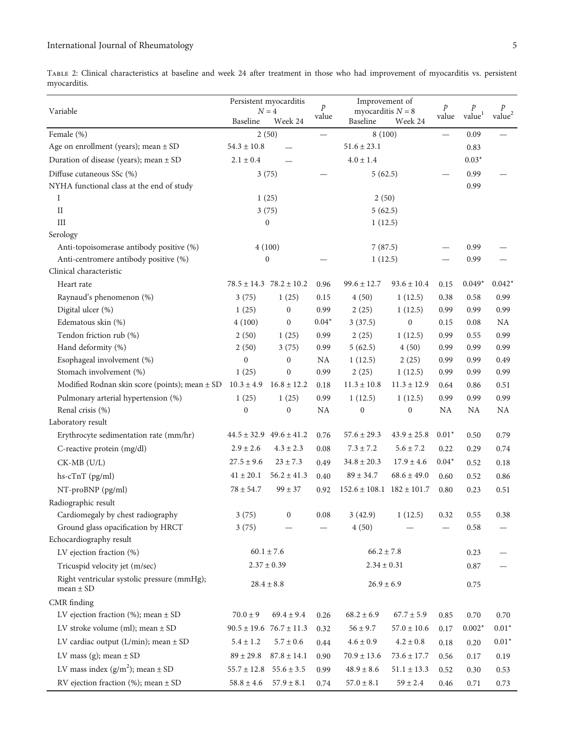<span id="page-4-0"></span>Table 2: Clinical characteristics at baseline and week 24 after treatment in those who had improvement of myocarditis vs. persistent myocarditis.

|                                                    | Persistent myocarditis<br>$N=4$ |                                 |               | Improvement of<br>myocarditis $N = 8$ |                  | p       | p                |               |
|----------------------------------------------------|---------------------------------|---------------------------------|---------------|---------------------------------------|------------------|---------|------------------|---------------|
| Variable                                           |                                 |                                 | $\mathcal{P}$ |                                       |                  |         |                  |               |
|                                                    | Baseline                        | Week 24                         | value         | Baseline                              | Week 24          | value   | $\mbox{value}^1$ | $\rm value^2$ |
| Female (%)                                         |                                 | 2(50)                           |               | 8(100)                                |                  |         | 0.09             |               |
| Age on enrollment (years); mean $\pm$ SD           | $54.3 \pm 10.8$                 |                                 |               | $51.6 \pm 23.1$                       |                  |         | 0.83             |               |
| Duration of disease (years); mean $\pm$ SD         | $2.1 \pm 0.4$                   |                                 |               | $4.0 \pm 1.4$                         |                  |         | $0.03*$          |               |
| Diffuse cutaneous SSc (%)                          |                                 | 3(75)                           |               | 5(62.5)                               |                  |         | 0.99             |               |
| NYHA functional class at the end of study          |                                 |                                 |               |                                       |                  |         | 0.99             |               |
| I                                                  |                                 | 1(25)                           |               | 2(50)                                 |                  |         |                  |               |
| $\rm II$                                           |                                 | 3(75)                           |               | 5(62.5)                               |                  |         |                  |               |
| III                                                |                                 | $\boldsymbol{0}$                |               | 1(12.5)                               |                  |         |                  |               |
| Serology                                           |                                 |                                 |               |                                       |                  |         |                  |               |
| Anti-topoisomerase antibody positive (%)           |                                 | 4(100)                          |               | 7(87.5)                               |                  |         | 0.99             |               |
| Anti-centromere antibody positive (%)              | $\boldsymbol{0}$                |                                 |               | 1(12.5)                               |                  |         | 0.99             |               |
| Clinical characteristic                            |                                 |                                 |               |                                       |                  |         |                  |               |
| Heart rate                                         |                                 | $78.5 \pm 14.3$ $78.2 \pm 10.2$ | 0.96          | $99.6 \pm 12.7$                       | $93.6 \pm 10.4$  | 0.15    | $0.049*$         | $0.042*$      |
| Raynaud's phenomenon (%)                           | 3(75)                           | 1(25)                           | 0.15          | 4(50)                                 | 1(12.5)          | 0.38    | 0.58             | 0.99          |
| Digital ulcer (%)                                  | 1(25)                           | $\boldsymbol{0}$                | 0.99          | 2(25)                                 | 1(12.5)          | 0.99    | 0.99             | 0.99          |
| Edematous skin (%)                                 | 4(100)                          | $\boldsymbol{0}$                | $0.04*$       | 3(37.5)                               | $\mathbf{0}$     | 0.15    | 0.08             | NA            |
| Tendon friction rub (%)                            | 2(50)                           | 1(25)                           | 0.99          | 2(25)                                 | 1(12.5)          | 0.99    | 0.55             | 0.99          |
| Hand deformity (%)                                 | 2(50)                           | 3(75)                           | 0.99          | 5(62.5)                               | 4(50)            | 0.99    | 0.99             | 0.99          |
| Esophageal involvement (%)                         | $\boldsymbol{0}$                | $\boldsymbol{0}$                | NA            | 1(12.5)                               | 2(25)            | 0.99    | 0.99             | 0.49          |
| Stomach involvement (%)                            | 1(25)                           | $\boldsymbol{0}$                | 0.99          | 2(25)                                 | 1(12.5)          | 0.99    | 0.99             | 0.99          |
| Modified Rodnan skin score (points); mean $\pm$ SD | $10.3 \pm 4.9$                  | $16.8 \pm 12.2$                 | 0.18          | $11.3 \pm 10.8$                       | $11.3 \pm 12.9$  | 0.64    | 0.86             | 0.51          |
| Pulmonary arterial hypertension (%)                | 1(25)                           | 1(25)                           | 0.99          | 1(12.5)                               | 1(12.5)          | 0.99    | 0.99             | 0.99          |
| Renal crisis (%)                                   | $\boldsymbol{0}$                | $\boldsymbol{0}$                | NA            | $\boldsymbol{0}$                      | $\boldsymbol{0}$ | NA      | NA               | NA            |
| Laboratory result                                  |                                 |                                 |               |                                       |                  |         |                  |               |
| Erythrocyte sedimentation rate (mm/hr)             |                                 | $44.5 \pm 32.9$ $49.6 \pm 41.2$ | 0.76          | $57.6 \pm 29.3$                       | $43.9 \pm 25.8$  | $0.01*$ | 0.50             | 0.79          |
| C-reactive protein (mg/dl)                         | $2.9 \pm 2.6$                   | $4.3 \pm 2.3$                   | 0.08          | $7.3 \pm 7.2$                         | $5.6 \pm 7.2$    | 0.22    | 0.29             | 0.74          |
| $CK-MB$ (U/L)                                      | $27.5 \pm 9.6$                  | $23 \pm 7.3$                    | 0.49          | $34.8\pm20.3$                         | $17.9 \pm 4.6$   | $0.04*$ | 0.52             | 0.18          |
| hs-cTnT (pg/ml)                                    | $41 \pm 20.1$                   | $56.2 \pm 41.3$                 | 0.40          | $89 \pm 34.7$                         | $68.6 \pm 49.0$  | 0.60    | 0.52             | 0.86          |
| NT-proBNP (pg/ml)                                  | $78 \pm 54.7$                   | $99\pm37$                       | 0.92          | $152.6 \pm 108.1$ $182 \pm 101.7$     |                  | 0.80    | 0.23             | 0.51          |
| Radiographic result                                |                                 |                                 |               |                                       |                  |         |                  |               |
| Cardiomegaly by chest radiography                  | 3(75)                           | $\boldsymbol{0}$                | 0.08          | 3(42.9)                               | 1(12.5)          | 0.32    | 0.55             | 0.38          |
| Ground glass opacification by HRCT                 | 3(75)                           |                                 |               | 4(50)                                 |                  |         | 0.58             |               |
| Echocardiography result                            |                                 |                                 |               |                                       |                  |         |                  |               |
| LV ejection fraction (%)                           |                                 | $60.1 \pm 7.6$                  |               | $66.2 \pm 7.8$                        |                  |         | 0.23             |               |
| Tricuspid velocity jet (m/sec)                     |                                 | $2.37 \pm 0.39$                 |               | $2.34 \pm 0.31$                       |                  |         | 0.87             |               |
| Right ventricular systolic pressure (mmHg);        |                                 |                                 |               |                                       |                  |         |                  |               |
| mean $\pm$ SD                                      |                                 | $28.4 \pm 8.8$                  |               | $26.9 \pm 6.9$                        |                  |         | 0.75             |               |
| CMR finding                                        |                                 |                                 |               |                                       |                  |         |                  |               |
| LV ejection fraction (%); mean $\pm$ SD            | $70.0 \pm 9$                    | $69.4 \pm 9.4$                  | 0.26          | $68.2 \pm 6.9$                        | $67.7 \pm 5.9$   | 0.85    | 0.70             | 0.70          |
| LV stroke volume (ml); mean $\pm$ SD               |                                 | $90.5 \pm 19.6$ 76.7 $\pm$ 11.3 | 0.32          | $56 \pm 9.7$                          | $57.0 \pm 10.6$  | 0.17    | $0.002*$         | $0.01*$       |
| LV cardiac output (L/min); mean $\pm$ SD           | $5.4 \pm 1.2$                   | $5.7\pm0.6$                     | 0.44          | $4.6\pm0.9$                           | $4.2 \pm 0.8$    | 0.18    | 0.20             | $0.01^{\ast}$ |
| LV mass (g); mean $\pm$ SD                         | $89 \pm 29.8$                   | $87.8 \pm 14.1$                 | 0.90          | $70.9 \pm 13.6$                       | $73.6 \pm 17.7$  | 0.56    | 0.17             | 0.19          |
| LV mass index $(g/m^2)$ ; mean $\pm$ SD            | $55.7 \pm 12.8$                 | $55.6 \pm 3.5$                  | 0.99          | $48.9 \pm 8.6$                        | $51.1 \pm 13.3$  | 0.52    | 0.30             | 0.53          |
|                                                    |                                 |                                 |               |                                       |                  |         |                  |               |
| RV ejection fraction (%); mean $\pm$ SD            | $58.8 \pm 4.6$                  | $57.9 \pm 8.1$                  | 0.74          | $57.0 \pm 8.1$                        | $59\pm2.4$       | 0.46    | 0.71             | 0.73          |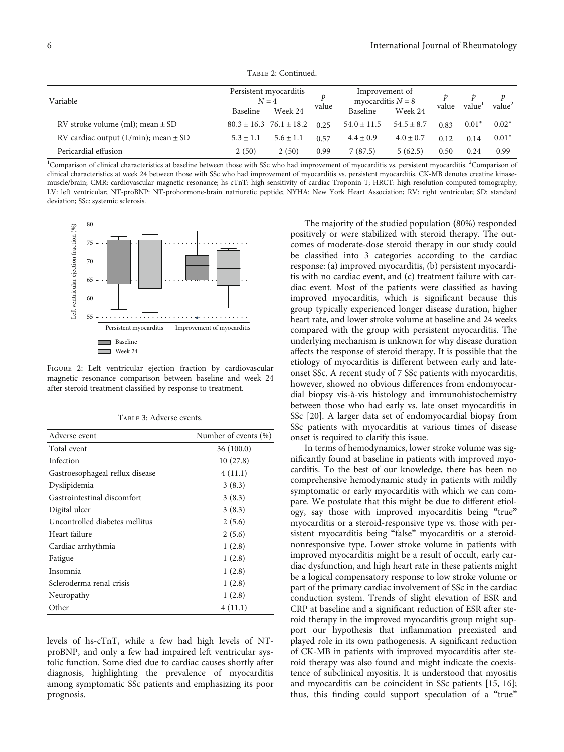Table 2: Continued.

<span id="page-5-0"></span>

| Variable                                 | Persistent myocarditis<br>$N=4$ |                                 | value | Improvement of<br>myocarditis $N = 8$ |                | value | value <sup>1</sup> | value <sup>2</sup> |
|------------------------------------------|---------------------------------|---------------------------------|-------|---------------------------------------|----------------|-------|--------------------|--------------------|
|                                          | Baseline                        | Week 24                         |       | Baseline                              | Week 24        |       |                    |                    |
| RV stroke volume (ml); mean $\pm$ SD     |                                 | $80.3 \pm 16.3$ 76.1 $\pm$ 18.2 | 0.25  | $54.0 \pm 11.5$                       | $54.5 \pm 8.7$ | 0.83  | $0.01*$            | $0.02*$            |
| RV cardiac output (L/min); mean $\pm$ SD | $5.3 \pm 1.1$                   | $5.6 \pm 1.1$                   | 0.57  | $4.4 \pm 0.9$                         | $4.0 \pm 0.7$  | 0.12  | 0.14               | $0.01*$            |
| Pericardial effusion                     | 2(50)                           | 2(50)                           | 0.99  | 7 (87.5)                              | 5(62.5)        | 0.50  | 0.24               | 0.99               |

<sup>1</sup>Comparison of clinical characteristics at baseline between those with SSc who had improvement of myocarditis vs. persistent myocarditis. <sup>2</sup>Comparison of clinical characteristics at week 24 between those with SSc who had improvement of myocarditis vs. persistent myocarditis. CK-MB denotes creatine kinasemuscle/brain; CMR: cardiovascular magnetic resonance; hs-cTnT: high sensitivity of cardiac Troponin-T; HRCT: high-resolution computed tomography; LV: left ventricular; NT-proBNP: NT-prohormone-brain natriuretic peptide; NYHA: New York Heart Association; RV: right ventricular; SD: standard deviation; SSc: systemic sclerosis.



FIGURE 2: Left ventricular ejection fraction by cardiovascular magnetic resonance comparison between baseline and week 24 after steroid treatment classified by response to treatment.

| Adverse event                   | Number of events (%) |
|---------------------------------|----------------------|
| Total event                     | 36(100.0)            |
| Infection                       | 10(27.8)             |
| Gastroesophageal reflux disease | 4(11.1)              |
| Dyslipidemia                    | 3(8.3)               |
| Gastrointestinal discomfort     | 3(8.3)               |
| Digital ulcer                   | 3(8.3)               |
| Uncontrolled diabetes mellitus  | 2(5.6)               |
| Heart failure                   | 2(5.6)               |
| Cardiac arrhythmia              | 1(2.8)               |
| Fatigue                         | 1(2.8)               |
| Insomnia                        | 1(2.8)               |
| Scleroderma renal crisis        | 1(2.8)               |
| Neuropathy                      | 1(2.8)               |
| Other                           | 4(11.1)              |

Table 3: Adverse events.

levels of hs-cTnT, while a few had high levels of NTproBNP, and only a few had impaired left ventricular systolic function. Some died due to cardiac causes shortly after diagnosis, highlighting the prevalence of myocarditis among symptomatic SSc patients and emphasizing its poor prognosis.

The majority of the studied population **(**80%) responded positively or were stabilized with steroid therapy. The outcomes of moderate-dose steroid therapy in our study could be classified into 3 categories according to the cardiac response: (a) improved myocarditis, (b) persistent myocarditis with no cardiac event, and (c) treatment failure with cardiac event. Most of the patients were classified as having improved myocarditis, which is significant because this group typically experienced longer disease duration, higher heart rate, and lower stroke volume at baseline and 24 weeks compared with the group with persistent myocarditis. The underlying mechanism is unknown for why disease duration affects the response of steroid therapy. It is possible that the etiology of myocarditis is different between early and lateonset SSc. A recent study of 7 SSc patients with myocarditis, however, showed no obvious differences from endomyocardial biopsy vis-à-vis histology and immunohistochemistry between those who had early vs. late onset myocarditis in SSc [[20](#page-8-0)]. A larger data set of endomyocardial biopsy from SSc patients with myocarditis at various times of disease onset is required to clarify this issue.

In terms of hemodynamics, lower stroke volume was significantly found at baseline in patients with improved myocarditis. To the best of our knowledge, there has been no comprehensive hemodynamic study in patients with mildly symptomatic or early myocarditis with which we can compare. We postulate that this might be due to different etiology, say those with improved myocarditis being **"**true**"** myocarditis or a steroid-responsive type vs. those with persistent myocarditis being **"**false**"** myocarditis or a steroidnonresponsive type. Lower stroke volume in patients with improved myocarditis might be a result of occult, early cardiac dysfunction, and high heart rate in these patients might be a logical compensatory response to low stroke volume or part of the primary cardiac involvement of SSc in the cardiac conduction system. Trends of slight elevation of ESR and CRP at baseline and a significant reduction of ESR after steroid therapy in the improved myocarditis group might support our hypothesis that inflammation preexisted and played role in its own pathogenesis. A significant reduction of CK-MB in patients with improved myocarditis after steroid therapy was also found and might indicate the coexistence of subclinical myositis. It is understood that myositis and myocarditis can be coincident in SSc patients [[15](#page-8-0), [16](#page-8-0)]; thus, this finding could support speculation of a **"**true**"**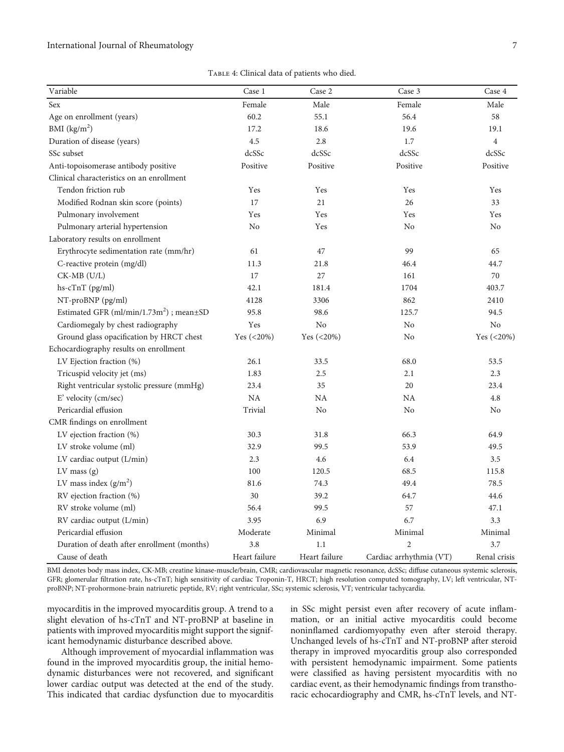Table 4: Clinical data of patients who died.

<span id="page-6-0"></span>

| Variable                                        | Case 1        | Case 2        | Case 3                  | Case 4         |
|-------------------------------------------------|---------------|---------------|-------------------------|----------------|
| Sex                                             | Female        | Male          | Female                  | Male           |
| Age on enrollment (years)                       | 60.2          | 55.1          | 56.4                    | 58             |
| BMI $(kg/m2)$                                   | 17.2          | 18.6          | 19.6                    | 19.1           |
| Duration of disease (years)                     | 4.5           | 2.8           | 1.7                     | $\overline{4}$ |
| SSc subset                                      | dcSSc         | dcSSc         | dcSSc                   | dcSSc          |
| Anti-topoisomerase antibody positive            | Positive      | Positive      | Positive                | Positive       |
| Clinical characteristics on an enrollment       |               |               |                         |                |
| Tendon friction rub                             | Yes           | Yes           | Yes                     | Yes            |
| Modified Rodnan skin score (points)             | 17            | 21            | 26                      | 33             |
| Pulmonary involvement                           | Yes           | Yes           | Yes                     | Yes            |
| Pulmonary arterial hypertension                 | No            | Yes           | N <sub>o</sub>          | No             |
| Laboratory results on enrollment                |               |               |                         |                |
| Erythrocyte sedimentation rate (mm/hr)          | 61            | 47            | 99                      | 65             |
| C-reactive protein (mg/dl)                      | 11.3          | 21.8          | 46.4                    | 44.7           |
| $CK-MB$ $(U/L)$                                 | 17            | 27            | 161                     | 70             |
| hs-cTnT (pg/ml)                                 | 42.1          | 181.4         | 1704                    | 403.7          |
| NT-proBNP (pg/ml)                               | 4128          | 3306          | 862                     | 2410           |
| Estimated GFR $(ml/min/1.73m2)$ ; mean $\pm$ SD | 95.8          | 98.6          | 125.7                   | 94.5           |
| Cardiomegaly by chest radiography               | Yes           | No            | N <sub>o</sub>          | No             |
| Ground glass opacification by HRCT chest        | Yes (<20%)    | Yes (<20%)    | No                      | Yes $(<20\%)$  |
| Echocardiography results on enrollment          |               |               |                         |                |
| LV Ejection fraction (%)                        | 26.1          | 33.5          | 68.0                    | 53.5           |
| Tricuspid velocity jet (ms)                     | 1.83          | 2.5           | 2.1                     | 2.3            |
| Right ventricular systolic pressure (mmHg)      | 23.4          | 35            | 20                      | 23.4           |
| E' velocity (cm/sec)                            | NA            | <b>NA</b>     | <b>NA</b>               | 4.8            |
| Pericardial effusion                            | Trivial       | No            | No                      | No             |
| CMR findings on enrollment                      |               |               |                         |                |
| LV ejection fraction (%)                        | 30.3          | 31.8          | 66.3                    | 64.9           |
| LV stroke volume (ml)                           | 32.9          | 99.5          | 53.9                    | 49.5           |
| LV cardiac output (L/min)                       | 2.3           | 4.6           | 6.4                     | 3.5            |
| $LV$ mass $(g)$                                 | 100           | 120.5         | 68.5                    | 115.8          |
| LV mass index $(g/m2)$                          | 81.6          | 74.3          | 49.4                    | 78.5           |
| RV ejection fraction (%)                        | 30            | 39.2          | 64.7                    | 44.6           |
| RV stroke volume (ml)                           | 56.4          | 99.5          | 57                      | 47.1           |
| RV cardiac output (L/min)                       | 3.95          | 6.9           | 6.7                     | 3.3            |
| Pericardial effusion                            | Moderate      | Minimal       | Minimal                 | Minimal        |
| Duration of death after enrollment (months)     | 3.8           | 1.1           | $\overline{2}$          | 3.7            |
| Cause of death                                  | Heart failure | Heart failure | Cardiac arrhythmia (VT) | Renal crisis   |

BMI denotes body mass index, CK-MB; creatine kinase-muscle/brain, CMR; cardiovascular magnetic resonance, dcSSc; diffuse cutaneous systemic sclerosis, GFR; glomerular filtration rate, hs-cTnT; high sensitivity of cardiac Troponin-T, HRCT; high resolution computed tomography, LV; left ventricular, NTproBNP; NT-prohormone-brain natriuretic peptide, RV; right ventricular, SSc; systemic sclerosis, VT; ventricular tachycardia.

myocarditis in the improved myocarditis group. A trend to a slight elevation of hs-cTnT and NT-proBNP at baseline in patients with improved myocarditis might support the significant hemodynamic disturbance described above.

Although improvement of myocardial inflammation was found in the improved myocarditis group, the initial hemodynamic disturbances were not recovered, and significant lower cardiac output was detected at the end of the study. This indicated that cardiac dysfunction due to myocarditis

in SSc might persist even after recovery of acute inflammation, or an initial active myocarditis could become noninflamed cardiomyopathy even after steroid therapy. Unchanged levels of hs-cTnT and NT-proBNP after steroid therapy in improved myocarditis group also corresponded with persistent hemodynamic impairment. Some patients were classified as having persistent myocarditis with no cardiac event, as their hemodynamic findings from transthoracic echocardiography and CMR, hs-cTnT levels, and NT-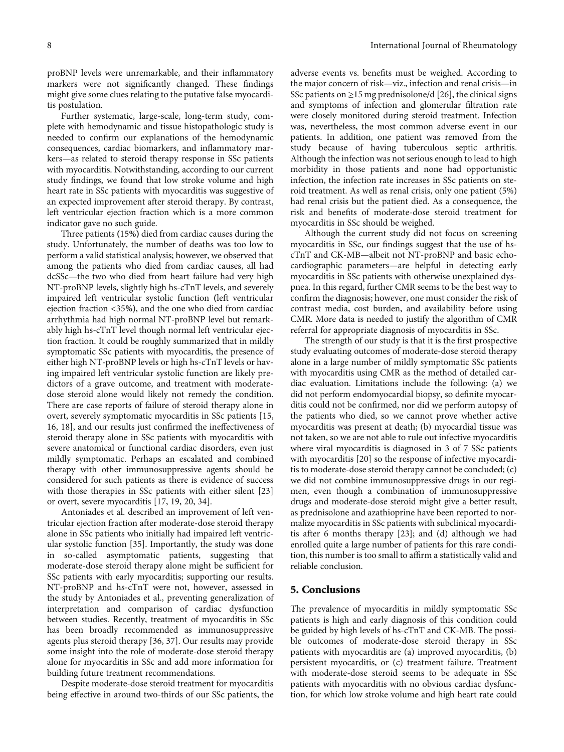proBNP levels were unremarkable, and their inflammatory markers were not significantly changed. These findings might give some clues relating to the putative false myocarditis postulation.

Further systematic, large-scale, long-term study, complete with hemodynamic and tissue histopathologic study is needed to confirm our explanations of the hemodynamic consequences, cardiac biomarkers, and inflammatory markers—as related to steroid therapy response in SSc patients with myocarditis. Notwithstanding, according to our current study findings, we found that low stroke volume and high heart rate in SSc patients with myocarditis was suggestive of an expected improvement after steroid therapy. By contrast, left ventricular ejection fraction which is a more common indicator gave no such guide.

Three patients **(**15**%)** died from cardiac causes during the study. Unfortunately, the number of deaths was too low to perform a valid statistical analysis; however, we observed that among the patients who died from cardiac causes, all had dcSSc—the two who died from heart failure had very high NT-proBNP levels, slightly high hs-cTnT levels, and severely impaired left ventricular systolic function **(**left ventricular ejection fraction <35**%)**, and the one who died from cardiac arrhythmia had high normal NT-proBNP level but remarkably high hs-cTnT level though normal left ventricular ejection fraction. It could be roughly summarized that in mildly symptomatic SSc patients with myocarditis, the presence of either high NT-proBNP levels or high hs-cTnT levels or having impaired left ventricular systolic function are likely predictors of a grave outcome, and treatment with moderatedose steroid alone would likely not remedy the condition. There are case reports of failure of steroid therapy alone in overt, severely symptomatic myocarditis in SSc patients [\[15,](#page-8-0) [16, 18](#page-8-0)], and our results just confirmed the ineffectiveness of steroid therapy alone in SSc patients with myocarditis with severe anatomical or functional cardiac disorders, even just mildly symptomatic. Perhaps an escalated and combined therapy with other immunosuppressive agents should be considered for such patients as there is evidence of success with those therapies in SSc patients with either silent [[23\]](#page-9-0) or overt, severe myocarditis [[17, 19, 20,](#page-8-0) [34\]](#page-9-0).

Antoniades et al. described an improvement of left ventricular ejection fraction after moderate-dose steroid therapy alone in SSc patients who initially had impaired left ventricular systolic function [\[35\]](#page-9-0). Importantly, the study was done in so-called asymptomatic patients, suggesting that moderate-dose steroid therapy alone might be sufficient for SSc patients with early myocarditis; supporting our results. NT-proBNP and hs-cTnT were not, however, assessed in the study by Antoniades et al., preventing generalization of interpretation and comparison of cardiac dysfunction between studies. Recently, treatment of myocarditis in SSc has been broadly recommended as immunosuppressive agents plus steroid therapy [\[36](#page-9-0), [37](#page-9-0)]. Our results may provide some insight into the role of moderate-dose steroid therapy alone for myocarditis in SSc and add more information for building future treatment recommendations.

Despite moderate-dose steroid treatment for myocarditis being effective in around two-thirds of our SSc patients, the

adverse events vs. benefits must be weighed. According to the major concern of risk—viz., infection and renal crisis—in SSc patients on  $\geq$ 15 mg prednisolone/d [[26\]](#page-9-0), the clinical signs and symptoms of infection and glomerular filtration rate were closely monitored during steroid treatment. Infection was, nevertheless, the most common adverse event in our patients. In addition, one patient was removed from the study because of having tuberculous septic arthritis. Although the infection was not serious enough to lead to high morbidity in those patients and none had opportunistic infection, the infection rate increases in SSc patients on steroid treatment. As well as renal crisis, only one patient (5%) had renal crisis but the patient died. As a consequence, the risk and benefits of moderate-dose steroid treatment for myocarditis in SSc should be weighed.

Although the current study did not focus on screening myocarditis in SSc, our findings suggest that the use of hscTnT and CK-MB—albeit not NT-proBNP and basic echocardiographic parameters—are helpful in detecting early myocarditis in SSc patients with otherwise unexplained dyspnea. In this regard, further CMR seems to be the best way to confirm the diagnosis; however, one must consider the risk of contrast media, cost burden, and availability before using CMR. More data is needed to justify the algorithm of CMR referral for appropriate diagnosis of myocarditis in SSc.

The strength of our study is that it is the first prospective study evaluating outcomes of moderate-dose steroid therapy alone in a large number of mildly symptomatic SSc patients with myocarditis using CMR as the method of detailed cardiac evaluation. Limitations include the following: (a) we did not perform endomyocardial biopsy, so definite myocarditis could not be confirmed, nor did we perform autopsy of the patients who died, so we cannot prove whether active myocarditis was present at death; (b) myocardial tissue was not taken, so we are not able to rule out infective myocarditis where viral myocarditis is diagnosed in 3 of 7 SSc patients with myocarditis [\[20\]](#page-8-0) so the response of infective myocarditis to moderate-dose steroid therapy cannot be concluded; (c) we did not combine immunosuppressive drugs in our regimen, even though a combination of immunosuppressive drugs and moderate-dose steroid might give a better result, as prednisolone and azathioprine have been reported to normalize myocarditis in SSc patients with subclinical myocarditis after 6 months therapy [\[23\]](#page-9-0); and (d) although we had enrolled quite a large number of patients for this rare condition, this number is too small to affirm a statistically valid and reliable conclusion.

## 5. Conclusions

The prevalence of myocarditis in mildly symptomatic SSc patients is high and early diagnosis of this condition could be guided by high levels of hs-cTnT and CK-MB. The possible outcomes of moderate-dose steroid therapy in SSc patients with myocarditis are (a) improved myocarditis, (b) persistent myocarditis, or (c) treatment failure. Treatment with moderate-dose steroid seems to be adequate in SSc patients with myocarditis with no obvious cardiac dysfunction, for which low stroke volume and high heart rate could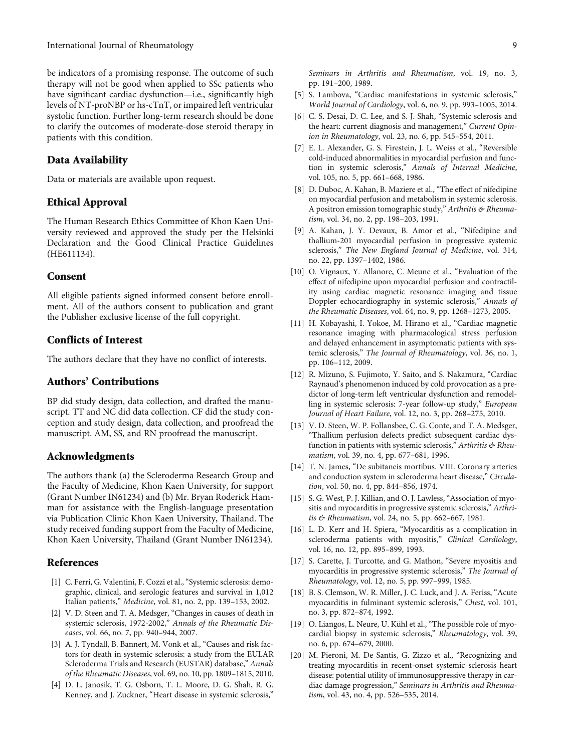<span id="page-8-0"></span>be indicators of a promising response. The outcome of such therapy will not be good when applied to SSc patients who have significant cardiac dysfunction—i.e., significantly high levels of NT-proNBP or hs-cTnT, or impaired left ventricular systolic function. Further long-term research should be done to clarify the outcomes of moderate-dose steroid therapy in patients with this condition.

#### Data Availability

Data or materials are available upon request.

## Ethical Approval

The Human Research Ethics Committee of Khon Kaen University reviewed and approved the study per the Helsinki Declaration and the Good Clinical Practice Guidelines (HE611134).

#### Consent

All eligible patients signed informed consent before enrollment. All of the authors consent to publication and grant the Publisher exclusive license of the full copyright.

### Conflicts of Interest

The authors declare that they have no conflict of interests.

## Authors' Contributions

BP did study design, data collection, and drafted the manuscript. TT and NC did data collection. CF did the study conception and study design, data collection, and proofread the manuscript. AM, SS, and RN proofread the manuscript.

#### Acknowledgments

The authors thank (a) the Scleroderma Research Group and the Faculty of Medicine, Khon Kaen University, for support (Grant Number IN61234) and (b) Mr. Bryan Roderick Hamman for assistance with the English-language presentation via Publication Clinic Khon Kaen University, Thailand. The study received funding support from the Faculty of Medicine, Khon Kaen University, Thailand (Grant Number IN61234).

# References

- [1] C. Ferri, G. Valentini, F. Cozzi et al., "Systemic sclerosis: demographic, clinical, and serologic features and survival in 1,012 Italian patients," Medicine, vol. 81, no. 2, pp. 139–153, 2002.
- [2] V. D. Steen and T. A. Medsger, "Changes in causes of death in systemic sclerosis, 1972-2002," Annals of the Rheumatic Diseases, vol. 66, no. 7, pp. 940–944, 2007.
- [3] A. J. Tyndall, B. Bannert, M. Vonk et al., "Causes and risk factors for death in systemic sclerosis: a study from the EULAR Scleroderma Trials and Research (EUSTAR) database," Annals of the Rheumatic Diseases, vol. 69, no. 10, pp. 1809–1815, 2010.
- [4] D. L. Janosik, T. G. Osborn, T. L. Moore, D. G. Shah, R. G. Kenney, and J. Zuckner, "Heart disease in systemic sclerosis,"

Seminars in Arthritis and Rheumatism, vol. 19, no. 3, pp. 191–200, 1989.

- [5] S. Lambova, "Cardiac manifestations in systemic sclerosis," World Journal of Cardiology, vol. 6, no. 9, pp. 993–1005, 2014.
- [6] C. S. Desai, D. C. Lee, and S. J. Shah, "Systemic sclerosis and the heart: current diagnosis and management," Current Opinion in Rheumatology, vol. 23, no. 6, pp. 545–554, 2011.
- [7] E. L. Alexander, G. S. Firestein, J. L. Weiss et al., "Reversible cold-induced abnormalities in myocardial perfusion and function in systemic sclerosis," Annals of Internal Medicine, vol. 105, no. 5, pp. 661–668, 1986.
- [8] D. Duboc, A. Kahan, B. Maziere et al., "The effect of nifedipine on myocardial perfusion and metabolism in systemic sclerosis. A positron emission tomographic study," Arthritis & Rheumatism, vol. 34, no. 2, pp. 198–203, 1991.
- [9] A. Kahan, J. Y. Devaux, B. Amor et al., "Nifedipine and thallium-201 myocardial perfusion in progressive systemic sclerosis," The New England Journal of Medicine, vol. 314, no. 22, pp. 1397–1402, 1986.
- [10] O. Vignaux, Y. Allanore, C. Meune et al., "Evaluation of the effect of nifedipine upon myocardial perfusion and contractility using cardiac magnetic resonance imaging and tissue Doppler echocardiography in systemic sclerosis," Annals of the Rheumatic Diseases, vol. 64, no. 9, pp. 1268–1273, 2005.
- [11] H. Kobayashi, I. Yokoe, M. Hirano et al., "Cardiac magnetic resonance imaging with pharmacological stress perfusion and delayed enhancement in asymptomatic patients with systemic sclerosis," The Journal of Rheumatology, vol. 36, no. 1, pp. 106–112, 2009.
- [12] R. Mizuno, S. Fujimoto, Y. Saito, and S. Nakamura, "Cardiac Raynaud's phenomenon induced by cold provocation as a predictor of long-term left ventricular dysfunction and remodelling in systemic sclerosis: 7-year follow-up study," European Journal of Heart Failure, vol. 12, no. 3, pp. 268–275, 2010.
- [13] V. D. Steen, W. P. Follansbee, C. G. Conte, and T. A. Medsger, "Thallium perfusion defects predict subsequent cardiac dysfunction in patients with systemic sclerosis," Arthritis & Rheumatism, vol. 39, no. 4, pp. 677–681, 1996.
- [14] T. N. James, "De subitaneis mortibus. VIII. Coronary arteries and conduction system in scleroderma heart disease," Circulation, vol. 50, no. 4, pp. 844–856, 1974.
- [15] S. G. West, P. J. Killian, and O. J. Lawless, "Association of myositis and myocarditis in progressive systemic sclerosis," Arthritis & Rheumatism, vol. 24, no. 5, pp. 662-667, 1981.
- [16] L. D. Kerr and H. Spiera, "Myocarditis as a complication in scleroderma patients with myositis," Clinical Cardiology, vol. 16, no. 12, pp. 895–899, 1993.
- [17] S. Carette, J. Turcotte, and G. Mathon, "Severe myositis and myocarditis in progressive systemic sclerosis," The Journal of Rheumatology, vol. 12, no. 5, pp. 997–999, 1985.
- [18] B. S. Clemson, W. R. Miller, J. C. Luck, and J. A. Feriss, "Acute myocarditis in fulminant systemic sclerosis," Chest, vol. 101, no. 3, pp. 872–874, 1992.
- [19] O. Liangos, L. Neure, U. Kühl et al., "The possible role of myocardial biopsy in systemic sclerosis," Rheumatology, vol. 39, no. 6, pp. 674–679, 2000.
- [20] M. Pieroni, M. De Santis, G. Zizzo et al., "Recognizing and treating myocarditis in recent-onset systemic sclerosis heart disease: potential utility of immunosuppressive therapy in cardiac damage progression," Seminars in Arthritis and Rheumatism, vol. 43, no. 4, pp. 526–535, 2014.